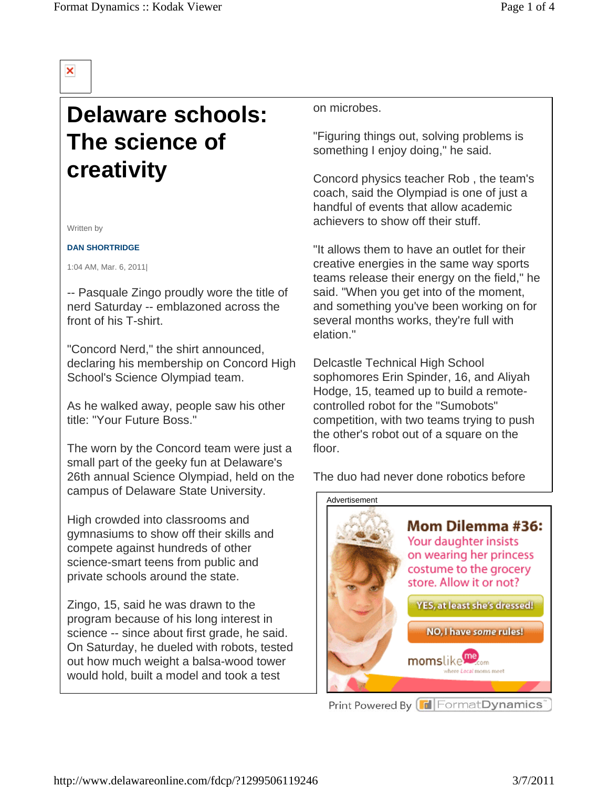## ×

## **Delaware schools: The science of creativity**

Written by

**DAN SHORTRIDGE**

1:04 AM, Mar. 6, 2011|

-- Pasquale Zingo proudly wore the title of nerd Saturday -- emblazoned across the front of his T-shirt.

"Concord Nerd," the shirt announced, declaring his membership on Concord High School's Science Olympiad team.

As he walked away, people saw his other title: "Your Future Boss."

The worn by the Concord team were just a small part of the geeky fun at Delaware's 26th annual Science Olympiad, held on the campus of Delaware State University.

High crowded into classrooms and gymnasiums to show off their skills and compete against hundreds of other science-smart teens from public and private schools around the state.

Zingo, 15, said he was drawn to the program because of his long interest in science -- since about first grade, he said. On Saturday, he dueled with robots, tested out how much weight a balsa-wood tower would hold, built a model and took a test

on microbes.

"Figuring things out, solving problems is something I enjoy doing," he said.

Concord physics teacher Rob , the team's coach, said the Olympiad is one of just a handful of events that allow academic achievers to show off their stuff.

"It allows them to have an outlet for their creative energies in the same way sports teams release their energy on the field," he said. "When you get into of the moment, and something you've been working on for several months works, they're full with elation."

Delcastle Technical High School sophomores Erin Spinder, 16, and Aliyah Hodge, 15, teamed up to build a remotecontrolled robot for the "Sumobots" competition, with two teams trying to push the other's robot out of a square on the floor.

The duo had never done robotics before

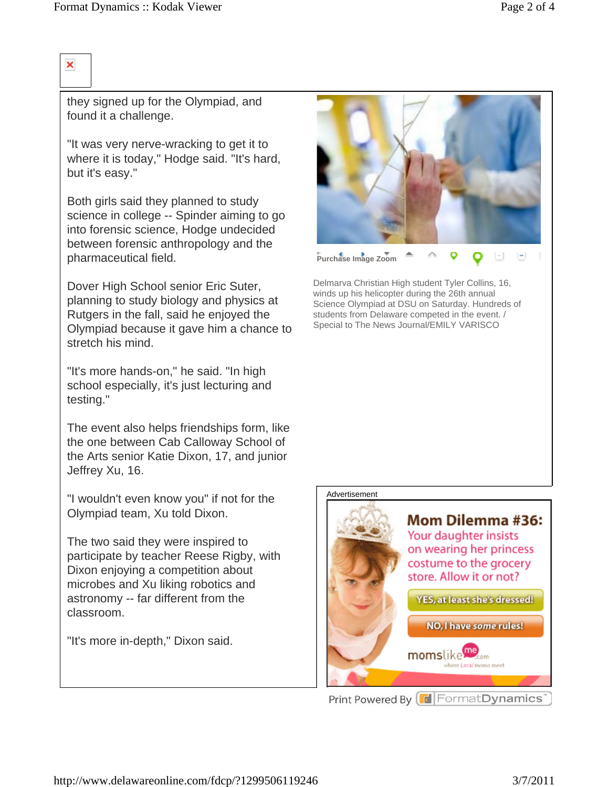## ×

they signed up for the Olympiad, and found it a challenge.

"It was very nerve-wracking to get it to where it is today," Hodge said. "It's hard, but it's easy."

Both girls said they planned to study science in college -- Spinder aiming to go into forensic science, Hodge undecided between forensic anthropology and the pharmaceutical field.

Dover High School senior Eric Suter, planning to study biology and physics at Rutgers in the fall, said he enjoyed the Olympiad because it gave him a chance to stretch his mind.

"It's more hands-on," he said. "In high school especially, it's just lecturing and testing."

The event also helps friendships form, like the one between Cab Calloway School of the Arts senior Katie Dixon, 17, and junior Jeffrey Xu, 16.

"I wouldn't even know you" if not for the Olympiad team, Xu told Dixon.

The two said they were inspired to participate by teacher Reese Rigby, with Dixon enjoying a competition about microbes and Xu liking robotics and astronomy -- far different from the classroom.

"It's more in-depth," Dixon said.



Delmarva Christian High student Tyler Collins, 16, winds up his helicopter during the 26th annual Science Olympiad at DSU on Saturday. Hundreds of students from Delaware competed in the event. / Special to The News Journal/EMILY VARISCO